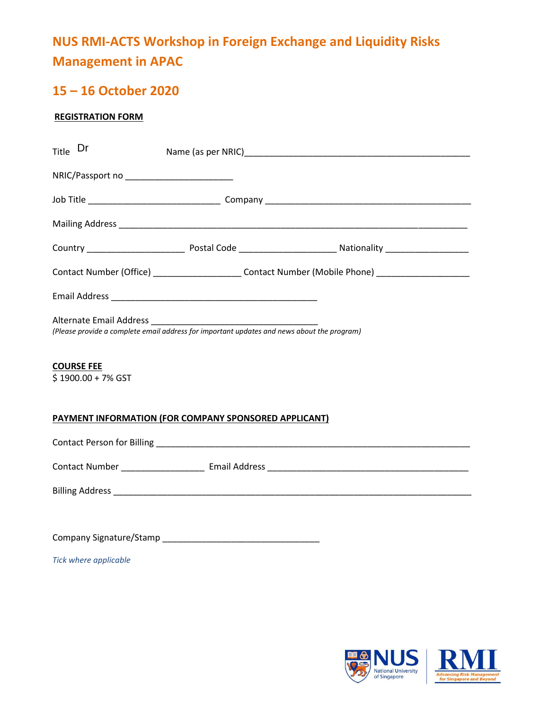# **NUS RMI-ACTS Workshop in Foreign Exchange and Liquidity Risks Management in APAC**

# **15 – 16 October 2020**

# **REGISTRATION FORM**

| Title Dr                                              |  |                                                                                                     |  |  |  |
|-------------------------------------------------------|--|-----------------------------------------------------------------------------------------------------|--|--|--|
|                                                       |  |                                                                                                     |  |  |  |
|                                                       |  |                                                                                                     |  |  |  |
|                                                       |  |                                                                                                     |  |  |  |
|                                                       |  |                                                                                                     |  |  |  |
|                                                       |  | Contact Number (Office) _______________________Contact Number (Mobile Phone) ______________________ |  |  |  |
|                                                       |  |                                                                                                     |  |  |  |
|                                                       |  | (Please provide a complete email address for important updates and news about the program)          |  |  |  |
| <b>COURSE FEE</b><br>\$1900.00 + 7% GST               |  |                                                                                                     |  |  |  |
| PAYMENT INFORMATION (FOR COMPANY SPONSORED APPLICANT) |  |                                                                                                     |  |  |  |
|                                                       |  |                                                                                                     |  |  |  |
|                                                       |  |                                                                                                     |  |  |  |
|                                                       |  |                                                                                                     |  |  |  |
|                                                       |  |                                                                                                     |  |  |  |
| Tick where applicable                                 |  |                                                                                                     |  |  |  |

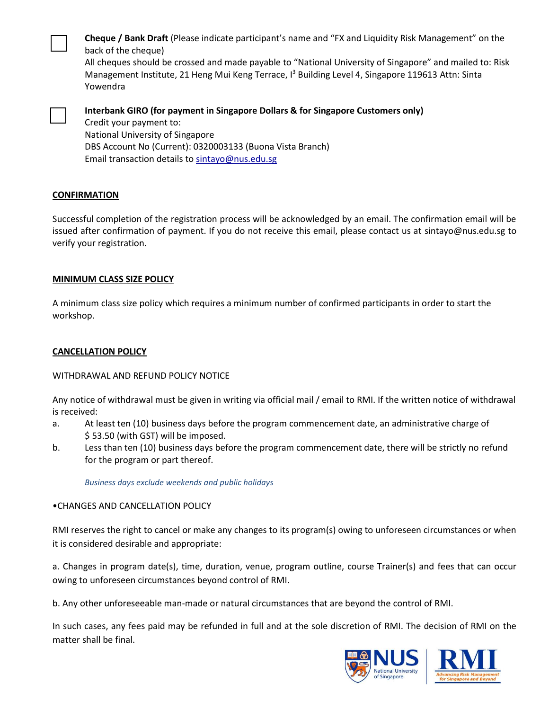**Cheque / Bank Draft** (Please indicate participant's name and "FX and Liquidity Risk Management" on the back of the cheque)

All cheques should be crossed and made payable to "National University of Singapore" and mailed to: Risk Management Institute, 21 Heng Mui Keng Terrace, I<sup>3</sup> Building Level 4, Singapore 119613 Attn: Sinta Yowendra



**Interbank GIRO (for payment in Singapore Dollars & for Singapore Customers only)**  Credit your payment to: National University of Singapore DBS Account No (Current): 0320003133 (Buona Vista Branch) Email transaction details to sintayo@nus.edu.sg

#### **CONFIRMATION**

Successful completion of the registration process will be acknowledged by an email. The confirmation email will be issued after confirmation of payment. If you do not receive this email, please contact us at [sintayo@nus.edu.sg](mailto:sintayo@nus.edu.sg) to verify your registration.

#### **MINIMUM CLASS SIZE POLICY**

A minimum class size policy which requires a minimum number of confirmed participants in order to start the workshop.

#### **CANCELLATION POLICY**

## WITHDRAWAL AND REFUND POLICY NOTICE

Any notice of withdrawal must be given in writing via official mail / email to RMI. If the written notice of withdrawal is received:

- a. At least ten (10) business days before the program commencement date, an administrative charge of \$ 53.50 (with GST) will be imposed.
- b. Less than ten (10) business days before the program commencement date, there will be strictly no refund for the program or part thereof.

*Business days exclude weekends and public holidays*

## •CHANGES AND CANCELLATION POLICY

RMI reserves the right to cancel or make any changes to its program(s) owing to unforeseen circumstances or when it is considered desirable and appropriate:

a. Changes in program date(s), time, duration, venue, program outline, course Trainer(s) and fees that can occur owing to unforeseen circumstances beyond control of RMI.

b. Any other unforeseeable man-made or natural circumstances that are beyond the control of RMI.

In such cases, any fees paid may be refunded in full and at the sole discretion of RMI. The decision of RMI on the matter shall be final.